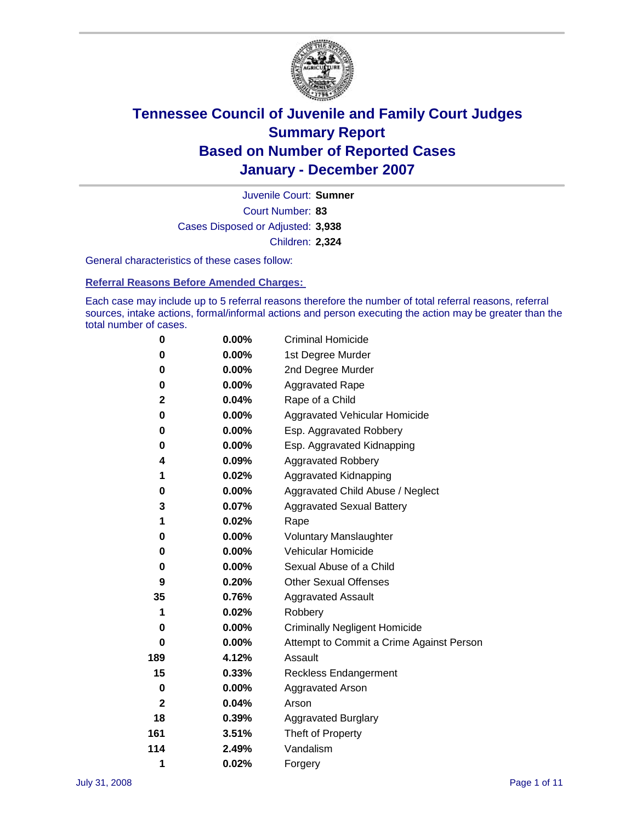

Court Number: **83** Juvenile Court: **Sumner** Cases Disposed or Adjusted: **3,938** Children: **2,324**

General characteristics of these cases follow:

**Referral Reasons Before Amended Charges:** 

Each case may include up to 5 referral reasons therefore the number of total referral reasons, referral sources, intake actions, formal/informal actions and person executing the action may be greater than the total number of cases.

| 0            | $0.00\%$ | <b>Criminal Homicide</b>                 |
|--------------|----------|------------------------------------------|
| 0            | 0.00%    | 1st Degree Murder                        |
| 0            | $0.00\%$ | 2nd Degree Murder                        |
| 0            | 0.00%    | <b>Aggravated Rape</b>                   |
| $\mathbf{2}$ | 0.04%    | Rape of a Child                          |
| 0            | $0.00\%$ | Aggravated Vehicular Homicide            |
| 0            | 0.00%    | Esp. Aggravated Robbery                  |
| 0            | $0.00\%$ | Esp. Aggravated Kidnapping               |
| 4            | 0.09%    | <b>Aggravated Robbery</b>                |
| 1            | 0.02%    | Aggravated Kidnapping                    |
| 0            | 0.00%    | Aggravated Child Abuse / Neglect         |
| 3            | 0.07%    | <b>Aggravated Sexual Battery</b>         |
| 1            | 0.02%    | Rape                                     |
| 0            | 0.00%    | <b>Voluntary Manslaughter</b>            |
| 0            | 0.00%    | Vehicular Homicide                       |
| 0            | 0.00%    | Sexual Abuse of a Child                  |
| 9            | 0.20%    | <b>Other Sexual Offenses</b>             |
| 35           | 0.76%    | <b>Aggravated Assault</b>                |
| 1            | 0.02%    | Robbery                                  |
| 0            | 0.00%    | <b>Criminally Negligent Homicide</b>     |
| 0            | $0.00\%$ | Attempt to Commit a Crime Against Person |
| 189          | 4.12%    | Assault                                  |
| 15           | 0.33%    | <b>Reckless Endangerment</b>             |
| 0            | 0.00%    | <b>Aggravated Arson</b>                  |
| $\mathbf{2}$ | 0.04%    | Arson                                    |
| 18           | 0.39%    | Aggravated Burglary                      |
| 161          | 3.51%    | Theft of Property                        |
| 114          | 2.49%    | Vandalism                                |
| 1            | 0.02%    | Forgery                                  |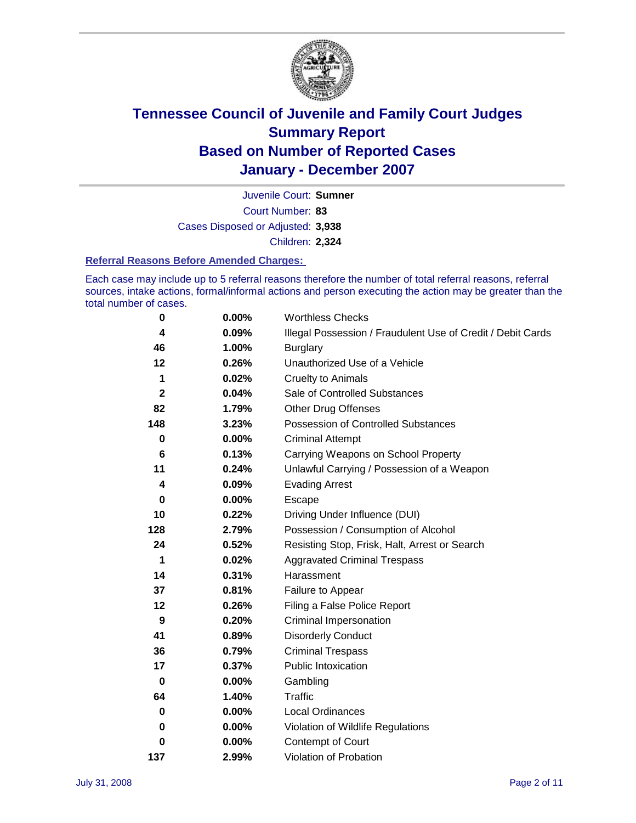

Court Number: **83** Juvenile Court: **Sumner** Cases Disposed or Adjusted: **3,938** Children: **2,324**

#### **Referral Reasons Before Amended Charges:**

Each case may include up to 5 referral reasons therefore the number of total referral reasons, referral sources, intake actions, formal/informal actions and person executing the action may be greater than the total number of cases.

| $\bf{0}$     | 0.00%    | <b>Worthless Checks</b>                                     |
|--------------|----------|-------------------------------------------------------------|
| 4            | 0.09%    | Illegal Possession / Fraudulent Use of Credit / Debit Cards |
| 46           | 1.00%    | <b>Burglary</b>                                             |
| 12           | 0.26%    | Unauthorized Use of a Vehicle                               |
| 1            | 0.02%    | <b>Cruelty to Animals</b>                                   |
| $\mathbf{2}$ | 0.04%    | Sale of Controlled Substances                               |
| 82           | 1.79%    | <b>Other Drug Offenses</b>                                  |
| 148          | 3.23%    | Possession of Controlled Substances                         |
| 0            | $0.00\%$ | <b>Criminal Attempt</b>                                     |
| 6            | 0.13%    | Carrying Weapons on School Property                         |
| 11           | 0.24%    | Unlawful Carrying / Possession of a Weapon                  |
| 4            | 0.09%    | <b>Evading Arrest</b>                                       |
| 0            | $0.00\%$ | Escape                                                      |
| 10           | 0.22%    | Driving Under Influence (DUI)                               |
| 128          | 2.79%    | Possession / Consumption of Alcohol                         |
| 24           | 0.52%    | Resisting Stop, Frisk, Halt, Arrest or Search               |
| 1            | 0.02%    | <b>Aggravated Criminal Trespass</b>                         |
| 14           | 0.31%    | Harassment                                                  |
| 37           | 0.81%    | Failure to Appear                                           |
| 12           | 0.26%    | Filing a False Police Report                                |
| 9            | 0.20%    | Criminal Impersonation                                      |
| 41           | 0.89%    | <b>Disorderly Conduct</b>                                   |
| 36           | 0.79%    | <b>Criminal Trespass</b>                                    |
| 17           | 0.37%    | <b>Public Intoxication</b>                                  |
| 0            | $0.00\%$ | Gambling                                                    |
| 64           | 1.40%    | <b>Traffic</b>                                              |
| 0            | $0.00\%$ | Local Ordinances                                            |
| 0            | 0.00%    | Violation of Wildlife Regulations                           |
| 0            | $0.00\%$ | Contempt of Court                                           |
| 137          | 2.99%    | Violation of Probation                                      |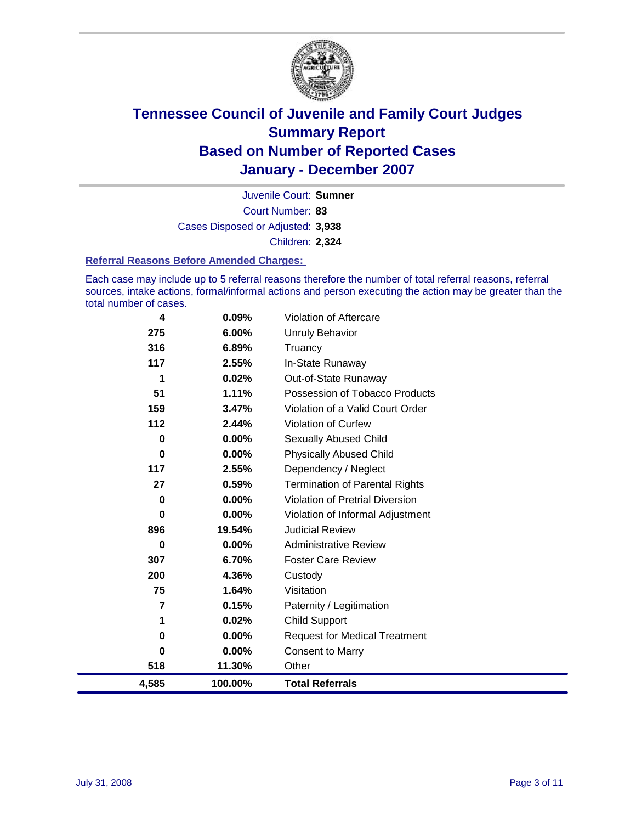

Court Number: **83** Juvenile Court: **Sumner** Cases Disposed or Adjusted: **3,938** Children: **2,324**

#### **Referral Reasons Before Amended Charges:**

Each case may include up to 5 referral reasons therefore the number of total referral reasons, referral sources, intake actions, formal/informal actions and person executing the action may be greater than the total number of cases.

| 4,585       | 100.00%  | <b>Total Referrals</b>                 |
|-------------|----------|----------------------------------------|
| 518         | 11.30%   | Other                                  |
| 0           | $0.00\%$ | <b>Consent to Marry</b>                |
| 0           | $0.00\%$ | <b>Request for Medical Treatment</b>   |
| 1           | 0.02%    | <b>Child Support</b>                   |
| 7           | 0.15%    | Paternity / Legitimation               |
| 75          | 1.64%    | Visitation                             |
| 200         | 4.36%    | Custody                                |
| 307         | 6.70%    | <b>Foster Care Review</b>              |
| 0           | $0.00\%$ | <b>Administrative Review</b>           |
| 896         | 19.54%   | <b>Judicial Review</b>                 |
| 0           | $0.00\%$ | Violation of Informal Adjustment       |
| $\mathbf 0$ | 0.00%    | <b>Violation of Pretrial Diversion</b> |
| 27          | 0.59%    | <b>Termination of Parental Rights</b>  |
| 117         | 2.55%    | Dependency / Neglect                   |
| $\bf{0}$    | 0.00%    | <b>Physically Abused Child</b>         |
| $\mathbf 0$ | $0.00\%$ | <b>Sexually Abused Child</b>           |
| 112         | 2.44%    | <b>Violation of Curfew</b>             |
| 159         | 3.47%    | Violation of a Valid Court Order       |
| 51          | 1.11%    | Possession of Tobacco Products         |
| 1           | 0.02%    | Out-of-State Runaway                   |
| 117         | 2.55%    | In-State Runaway                       |
| 316         | 6.89%    | Truancy                                |
| 275         | 6.00%    | <b>Unruly Behavior</b>                 |
| 4           | 0.09%    | Violation of Aftercare                 |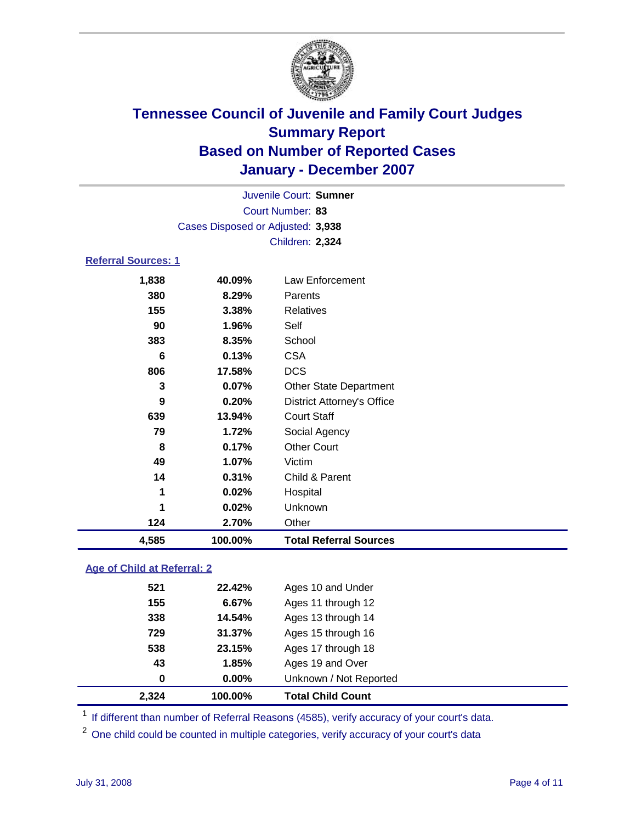

|                            |                                   | Juvenile Court: Sumner |  |  |  |  |
|----------------------------|-----------------------------------|------------------------|--|--|--|--|
|                            |                                   | Court Number: 83       |  |  |  |  |
|                            | Cases Disposed or Adjusted: 3,938 |                        |  |  |  |  |
|                            |                                   | Children: 2,324        |  |  |  |  |
| <b>Referral Sources: 1</b> |                                   |                        |  |  |  |  |
| 1,838                      | 40.09%                            | Law Enforcement        |  |  |  |  |

| 4,585  | 100.00%  | <b>Total Referral Sources</b>     |  |
|--------|----------|-----------------------------------|--|
| 124    | 2.70%    | Other                             |  |
| 1      | 0.02%    | Unknown                           |  |
| 1      | 0.02%    | Hospital                          |  |
| 14     | 0.31%    | Child & Parent                    |  |
| 49     | 1.07%    | Victim                            |  |
| 8      | 0.17%    | <b>Other Court</b>                |  |
| 79     | 1.72%    | Social Agency                     |  |
| 639    | 13.94%   | <b>Court Staff</b>                |  |
| 9      | 0.20%    | <b>District Attorney's Office</b> |  |
| 3      | 0.07%    | <b>Other State Department</b>     |  |
| 806    | 17.58%   | <b>DCS</b>                        |  |
| 6      | 0.13%    | <b>CSA</b>                        |  |
| 383    | 8.35%    | School                            |  |
| 90     | 1.96%    | Self                              |  |
| 155    | 3.38%    | Relatives                         |  |
| 380    | 8.29%    | Parents                           |  |
| טטט, ו | 70.UJ /0 | LAW LINVICTIIGHT                  |  |

### **Age of Child at Referral: 2**

| 2,324 | 100.00% | <b>Total Child Count</b> |
|-------|---------|--------------------------|
| 0     | 0.00%   | Unknown / Not Reported   |
| 43    | 1.85%   | Ages 19 and Over         |
| 538   | 23.15%  | Ages 17 through 18       |
| 729   | 31.37%  | Ages 15 through 16       |
| 338   | 14.54%  | Ages 13 through 14       |
| 155   | 6.67%   | Ages 11 through 12       |
| 521   | 22.42%  | Ages 10 and Under        |
|       |         |                          |

<sup>1</sup> If different than number of Referral Reasons (4585), verify accuracy of your court's data.

One child could be counted in multiple categories, verify accuracy of your court's data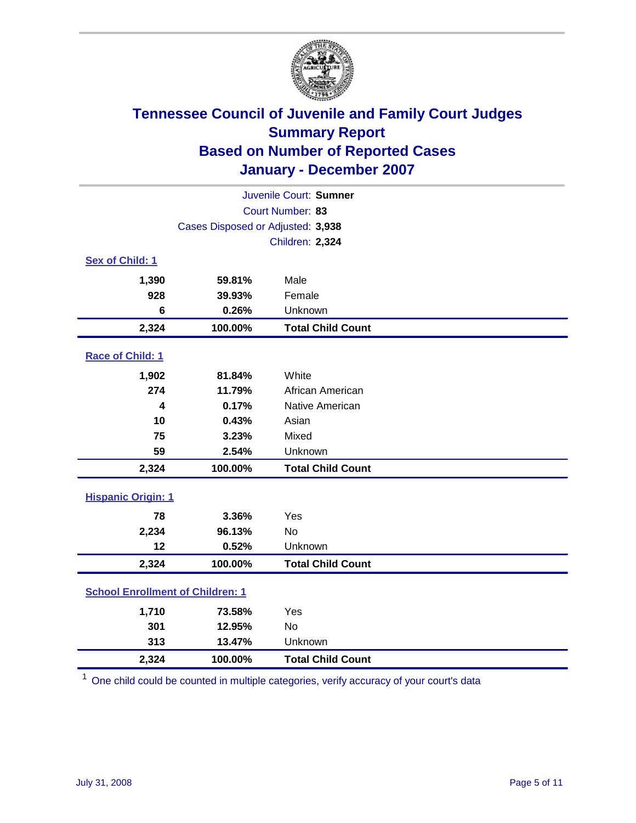

| Juvenile Court: Sumner                  |                                   |                          |  |  |  |
|-----------------------------------------|-----------------------------------|--------------------------|--|--|--|
| Court Number: 83                        |                                   |                          |  |  |  |
|                                         | Cases Disposed or Adjusted: 3,938 |                          |  |  |  |
|                                         |                                   | Children: 2,324          |  |  |  |
| Sex of Child: 1                         |                                   |                          |  |  |  |
| 1,390                                   | 59.81%                            | Male                     |  |  |  |
| 928                                     | 39.93%                            | Female                   |  |  |  |
| 6                                       | 0.26%                             | Unknown                  |  |  |  |
| 2,324                                   | 100.00%                           | <b>Total Child Count</b> |  |  |  |
| Race of Child: 1                        |                                   |                          |  |  |  |
| 1,902                                   | 81.84%                            | White                    |  |  |  |
| 274                                     | 11.79%                            | African American         |  |  |  |
| 4                                       | 0.17%                             | Native American          |  |  |  |
| 10                                      | 0.43%                             | Asian                    |  |  |  |
| 75                                      | 3.23%                             | Mixed                    |  |  |  |
| 59                                      | 2.54%                             | Unknown                  |  |  |  |
| 2,324                                   | 100.00%                           | <b>Total Child Count</b> |  |  |  |
| <b>Hispanic Origin: 1</b>               |                                   |                          |  |  |  |
| 78                                      | 3.36%                             | Yes                      |  |  |  |
| 2,234                                   | 96.13%                            | <b>No</b>                |  |  |  |
| 12                                      | 0.52%                             | Unknown                  |  |  |  |
| 2,324                                   | 100.00%                           | <b>Total Child Count</b> |  |  |  |
| <b>School Enrollment of Children: 1</b> |                                   |                          |  |  |  |
| 1,710                                   | 73.58%                            | Yes                      |  |  |  |
| 301                                     | 12.95%                            | No                       |  |  |  |
| 313                                     | 13.47%                            | Unknown                  |  |  |  |
| 2,324                                   | 100.00%                           | <b>Total Child Count</b> |  |  |  |

<sup>1</sup> One child could be counted in multiple categories, verify accuracy of your court's data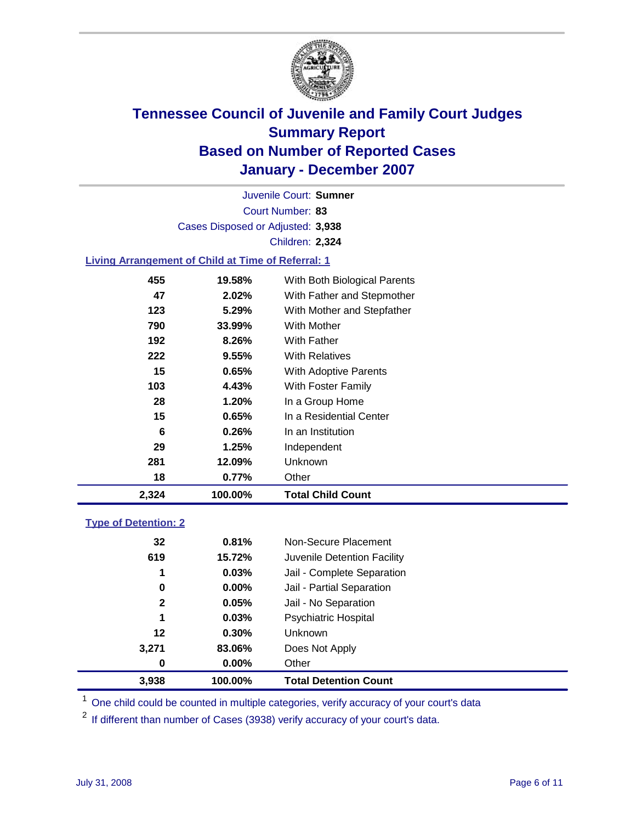

Court Number: **83** Juvenile Court: **Sumner** Cases Disposed or Adjusted: **3,938** Children: **2,324**

### **Living Arrangement of Child at Time of Referral: 1**

| 2,324 | 100.00% | Total Child Count            |
|-------|---------|------------------------------|
| 18    | 0.77%   | Other                        |
| 281   | 12.09%  | Unknown                      |
| 29    | 1.25%   | Independent                  |
| 6     | 0.26%   | In an Institution            |
| 15    | 0.65%   | In a Residential Center      |
| 28    | 1.20%   | In a Group Home              |
| 103   | 4.43%   | With Foster Family           |
| 15    | 0.65%   | With Adoptive Parents        |
| 222   | 9.55%   | <b>With Relatives</b>        |
| 192   | 8.26%   | <b>With Father</b>           |
| 790   | 33.99%  | With Mother                  |
| 123   | 5.29%   | With Mother and Stepfather   |
| 47    | 2.02%   | With Father and Stepmother   |
| 455   | 19.58%  | With Both Biological Parents |

#### **Type of Detention: 2**

| 3.938        | 100.00%  | <b>Total Detention Count</b> |  |
|--------------|----------|------------------------------|--|
| 0            | 0.00%    | Other                        |  |
| 3,271        | 83.06%   | Does Not Apply               |  |
| 12           | 0.30%    | <b>Unknown</b>               |  |
| 1            | 0.03%    | Psychiatric Hospital         |  |
| $\mathbf{2}$ | 0.05%    | Jail - No Separation         |  |
| 0            | $0.00\%$ | Jail - Partial Separation    |  |
| 1            | 0.03%    | Jail - Complete Separation   |  |
| 619          | 15.72%   | Juvenile Detention Facility  |  |
| 32           | 0.81%    | Non-Secure Placement         |  |
|              |          |                              |  |

<sup>1</sup> One child could be counted in multiple categories, verify accuracy of your court's data

<sup>2</sup> If different than number of Cases (3938) verify accuracy of your court's data.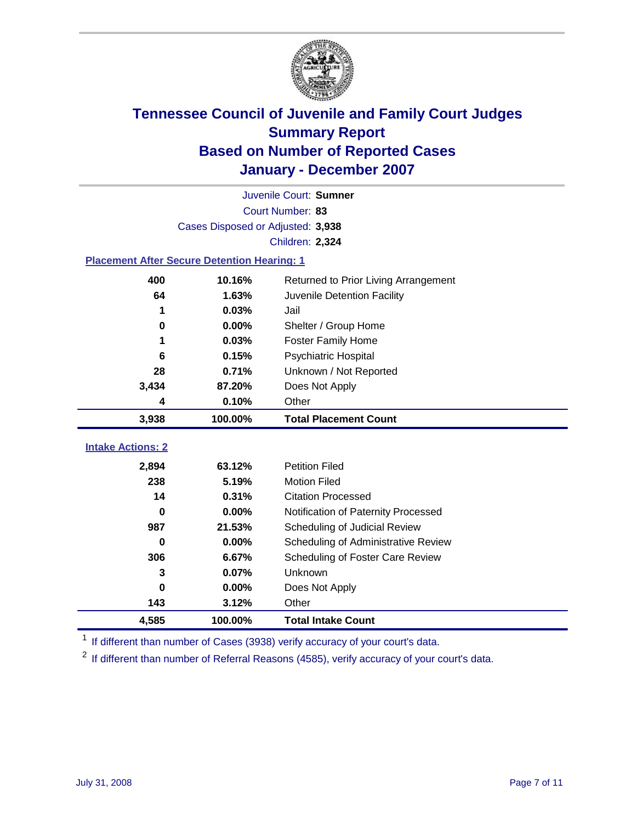

|                                                    |                                   | Juvenile Court: Sumner               |  |  |  |
|----------------------------------------------------|-----------------------------------|--------------------------------------|--|--|--|
| Court Number: 83                                   |                                   |                                      |  |  |  |
|                                                    | Cases Disposed or Adjusted: 3,938 |                                      |  |  |  |
|                                                    |                                   | Children: 2,324                      |  |  |  |
| <b>Placement After Secure Detention Hearing: 1</b> |                                   |                                      |  |  |  |
| 400                                                | 10.16%                            | Returned to Prior Living Arrangement |  |  |  |
| 64                                                 | 1.63%                             | Juvenile Detention Facility          |  |  |  |
| 1                                                  | 0.03%                             | Jail                                 |  |  |  |
| $\bf{0}$                                           | 0.00%                             | Shelter / Group Home                 |  |  |  |
| 1                                                  | 0.03%                             | <b>Foster Family Home</b>            |  |  |  |
| 6                                                  | 0.15%                             | Psychiatric Hospital                 |  |  |  |
| 28                                                 | 0.71%                             | Unknown / Not Reported               |  |  |  |
| 3,434                                              | 87.20%                            | Does Not Apply                       |  |  |  |
| 4                                                  | 0.10%                             | Other                                |  |  |  |
| 3,938                                              | 100.00%                           | <b>Total Placement Count</b>         |  |  |  |
|                                                    |                                   |                                      |  |  |  |
| <b>Intake Actions: 2</b>                           |                                   |                                      |  |  |  |
| 2,894                                              | 63.12%                            | <b>Petition Filed</b>                |  |  |  |
| 238                                                | 5.19%                             | <b>Motion Filed</b>                  |  |  |  |
| 14                                                 | 0.31%                             | <b>Citation Processed</b>            |  |  |  |
| 0                                                  | 0.00%                             | Notification of Paternity Processed  |  |  |  |
| 987                                                | 21.53%                            | Scheduling of Judicial Review        |  |  |  |
| $\bf{0}$                                           | 0.00%                             | Scheduling of Administrative Review  |  |  |  |
| 306                                                | 6.67%                             | Scheduling of Foster Care Review     |  |  |  |
| 3                                                  | 0.07%                             | Unknown                              |  |  |  |
| 0                                                  | 0.00%                             | Does Not Apply                       |  |  |  |
| 143                                                | 3.12%                             | Other                                |  |  |  |
| 4,585                                              | 100.00%                           | <b>Total Intake Count</b>            |  |  |  |

<sup>1</sup> If different than number of Cases (3938) verify accuracy of your court's data.

<sup>2</sup> If different than number of Referral Reasons (4585), verify accuracy of your court's data.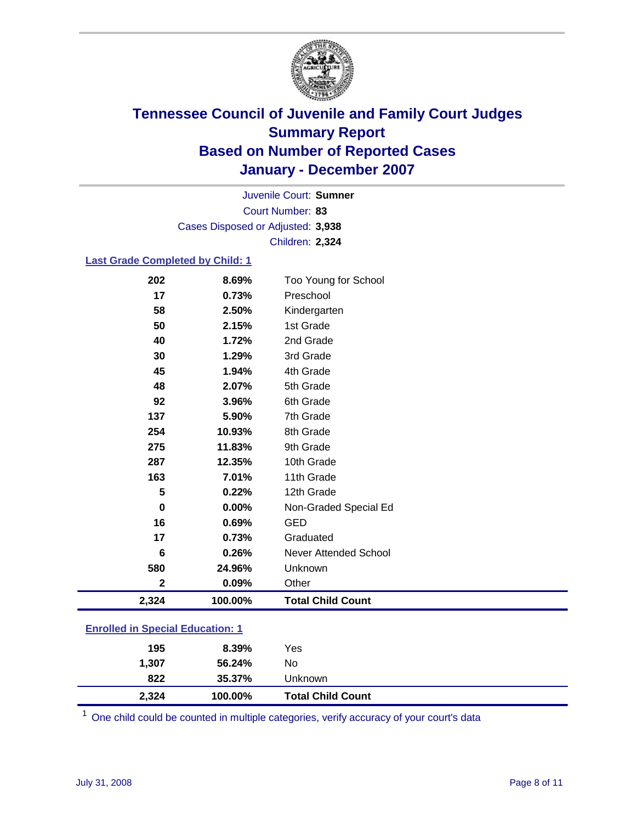

Court Number: **83** Juvenile Court: **Sumner** Cases Disposed or Adjusted: **3,938** Children: **2,324**

#### **Last Grade Completed by Child: 1**

| 2,324        | 100.00% | <b>Total Child Count</b> |
|--------------|---------|--------------------------|
| $\mathbf{2}$ | 0.09%   | Other                    |
| 580          | 24.96%  | Unknown                  |
| 6            | 0.26%   | Never Attended School    |
| 17           | 0.73%   | Graduated                |
| 16           | 0.69%   | <b>GED</b>               |
| $\bf{0}$     | 0.00%   | Non-Graded Special Ed    |
| 5            | 0.22%   | 12th Grade               |
| 163          | 7.01%   | 11th Grade               |
| 287          | 12.35%  | 10th Grade               |
| 275          | 11.83%  | 9th Grade                |
| 254          | 10.93%  | 8th Grade                |
| 137          | 5.90%   | 7th Grade                |
| 92           | 3.96%   | 6th Grade                |
| 48           | 2.07%   | 5th Grade                |
| 45           | 1.94%   | 4th Grade                |
| 30           | 1.29%   | 3rd Grade                |
| 40           | 1.72%   | 2nd Grade                |
| 50           | 2.15%   | 1st Grade                |
| 58           | 2.50%   | Kindergarten             |
| 17           | 0.73%   | Preschool                |
| 202          | 8.69%   | Too Young for School     |

### **Enrolled in Special Education: 1**

| 2,324 | 100.00% | <b>Total Child Count</b> |  |
|-------|---------|--------------------------|--|
| 822   | 35.37%  | Unknown                  |  |
| 1,307 | 56.24%  | No                       |  |
| 195   | 8.39%   | Yes                      |  |
|       |         |                          |  |

<sup>1</sup> One child could be counted in multiple categories, verify accuracy of your court's data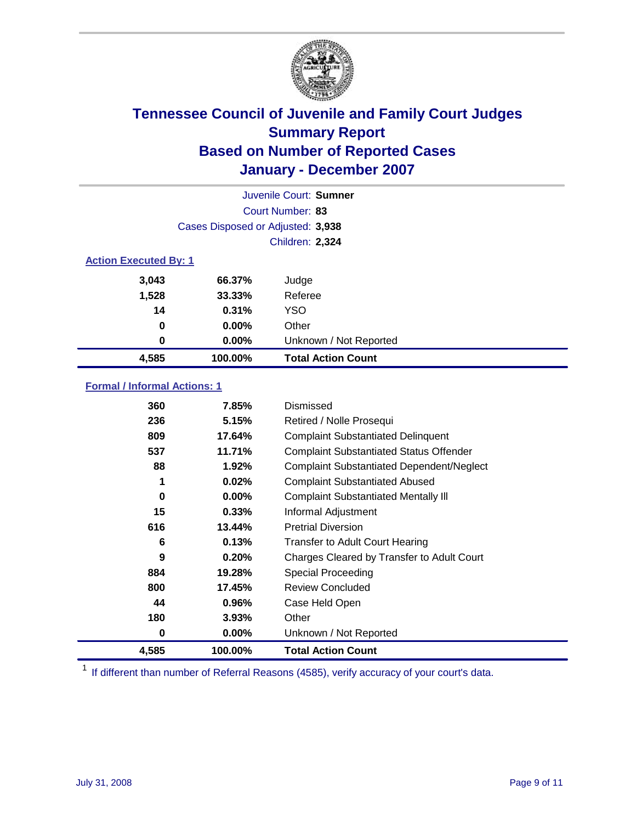

|                              |                                   | Juvenile Court: Sumner    |  |  |  |
|------------------------------|-----------------------------------|---------------------------|--|--|--|
|                              |                                   | Court Number: 83          |  |  |  |
|                              | Cases Disposed or Adjusted: 3,938 |                           |  |  |  |
|                              |                                   | Children: 2,324           |  |  |  |
| <b>Action Executed By: 1</b> |                                   |                           |  |  |  |
| 3,043                        | 66.37%                            | Judge                     |  |  |  |
| 1,528                        | 33.33%                            | Referee                   |  |  |  |
| 14                           | 0.31%                             | <b>YSO</b>                |  |  |  |
| 0                            | $0.00\%$                          | Other                     |  |  |  |
| $\bf{0}$                     | 0.00%                             | Unknown / Not Reported    |  |  |  |
| 4,585                        | 100.00%                           | <b>Total Action Count</b> |  |  |  |

### **Formal / Informal Actions: 1**

| 360   | 7.85%    | Dismissed                                        |
|-------|----------|--------------------------------------------------|
| 236   | 5.15%    | Retired / Nolle Prosequi                         |
| 809   | 17.64%   | <b>Complaint Substantiated Delinquent</b>        |
| 537   | 11.71%   | <b>Complaint Substantiated Status Offender</b>   |
| 88    | 1.92%    | <b>Complaint Substantiated Dependent/Neglect</b> |
| 1     | 0.02%    | <b>Complaint Substantiated Abused</b>            |
| 0     | $0.00\%$ | <b>Complaint Substantiated Mentally III</b>      |
| 15    | 0.33%    | Informal Adjustment                              |
| 616   | 13.44%   | <b>Pretrial Diversion</b>                        |
| 6     | 0.13%    | <b>Transfer to Adult Court Hearing</b>           |
| 9     | 0.20%    | Charges Cleared by Transfer to Adult Court       |
| 884   | 19.28%   | Special Proceeding                               |
| 800   | 17.45%   | <b>Review Concluded</b>                          |
| 44    | 0.96%    | Case Held Open                                   |
| 180   | 3.93%    | Other                                            |
| 0     | $0.00\%$ | Unknown / Not Reported                           |
| 4,585 | 100.00%  | <b>Total Action Count</b>                        |

<sup>1</sup> If different than number of Referral Reasons (4585), verify accuracy of your court's data.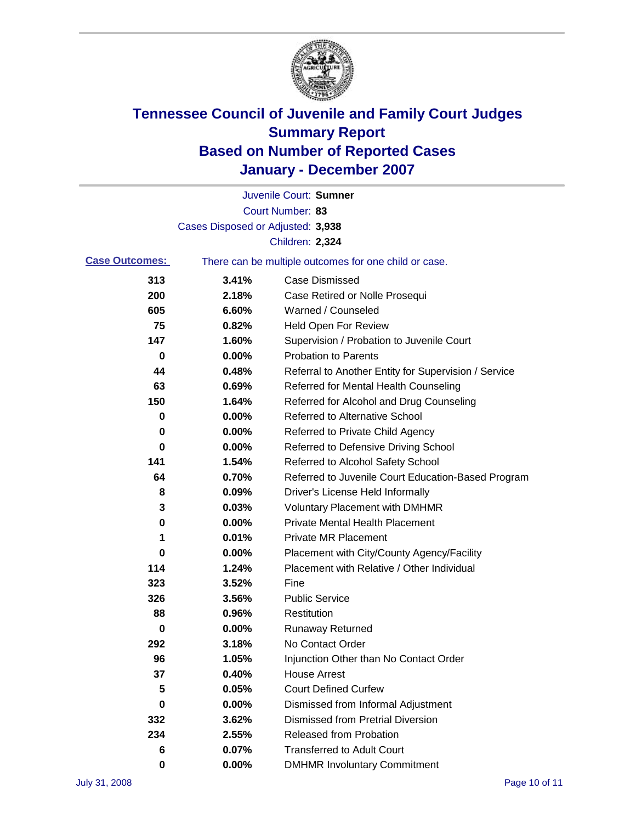

|                       |                                   | Juvenile Court: Sumner                                |
|-----------------------|-----------------------------------|-------------------------------------------------------|
|                       |                                   | Court Number: 83                                      |
|                       | Cases Disposed or Adjusted: 3,938 |                                                       |
|                       |                                   | Children: 2,324                                       |
| <b>Case Outcomes:</b> |                                   | There can be multiple outcomes for one child or case. |
| 313                   | 3.41%                             | <b>Case Dismissed</b>                                 |
| 200                   | 2.18%                             | Case Retired or Nolle Prosequi                        |
| 605                   | 6.60%                             | Warned / Counseled                                    |
| 75                    | 0.82%                             | <b>Held Open For Review</b>                           |
| 147                   | 1.60%                             | Supervision / Probation to Juvenile Court             |
| 0                     | 0.00%                             | <b>Probation to Parents</b>                           |
| 44                    | 0.48%                             | Referral to Another Entity for Supervision / Service  |
| 63                    | 0.69%                             | Referred for Mental Health Counseling                 |
| 150                   | 1.64%                             | Referred for Alcohol and Drug Counseling              |
| 0                     | 0.00%                             | Referred to Alternative School                        |
| 0                     | 0.00%                             | Referred to Private Child Agency                      |
| 0                     | 0.00%                             | Referred to Defensive Driving School                  |
| 141                   | 1.54%                             | Referred to Alcohol Safety School                     |
| 64                    | 0.70%                             | Referred to Juvenile Court Education-Based Program    |
| 8                     | 0.09%                             | Driver's License Held Informally                      |
| 3                     | 0.03%                             | <b>Voluntary Placement with DMHMR</b>                 |
| 0                     | 0.00%                             | <b>Private Mental Health Placement</b>                |
| 1                     | 0.01%                             | <b>Private MR Placement</b>                           |
| 0                     | 0.00%                             | Placement with City/County Agency/Facility            |
| 114                   | 1.24%                             | Placement with Relative / Other Individual            |
| 323                   | 3.52%                             | Fine                                                  |
| 326                   | 3.56%                             | <b>Public Service</b>                                 |
| 88                    | 0.96%                             | Restitution                                           |
| 0                     | 0.00%                             | <b>Runaway Returned</b>                               |
| 292                   | 3.18%                             | No Contact Order                                      |
| 96                    | 1.05%                             | Injunction Other than No Contact Order                |
| 37                    | 0.40%                             | <b>House Arrest</b>                                   |
| 5                     | 0.05%                             | <b>Court Defined Curfew</b>                           |
| 0                     | 0.00%                             | Dismissed from Informal Adjustment                    |
| 332                   | 3.62%                             | <b>Dismissed from Pretrial Diversion</b>              |
| 234                   | 2.55%                             | <b>Released from Probation</b>                        |
| 6                     | 0.07%                             | <b>Transferred to Adult Court</b>                     |
| 0                     | $0.00\%$                          | <b>DMHMR Involuntary Commitment</b>                   |